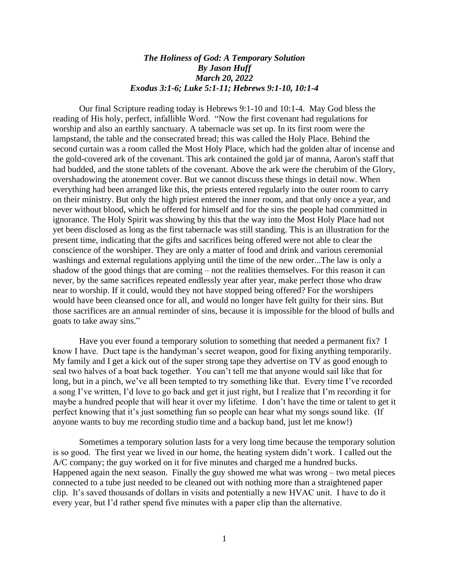## *The Holiness of God: A Temporary Solution By Jason Huff March 20, 2022 Exodus 3:1-6; Luke 5:1-11; Hebrews 9:1-10, 10:1-4*

Our final Scripture reading today is Hebrews 9:1-10 and 10:1-4. May God bless the reading of His holy, perfect, infallible Word. "Now the first covenant had regulations for worship and also an earthly sanctuary. A tabernacle was set up. In its first room were the lampstand, the table and the consecrated bread; this was called the Holy Place. Behind the second curtain was a room called the Most Holy Place, which had the golden altar of incense and the gold-covered ark of the covenant. This ark contained the gold jar of manna, Aaron's staff that had budded, and the stone tablets of the covenant. Above the ark were the cherubim of the Glory, overshadowing the atonement cover. But we cannot discuss these things in detail now. When everything had been arranged like this, the priests entered regularly into the outer room to carry on their ministry. But only the high priest entered the inner room, and that only once a year, and never without blood, which he offered for himself and for the sins the people had committed in ignorance. The Holy Spirit was showing by this that the way into the Most Holy Place had not yet been disclosed as long as the first tabernacle was still standing. This is an illustration for the present time, indicating that the gifts and sacrifices being offered were not able to clear the conscience of the worshiper. They are only a matter of food and drink and various ceremonial washings and external regulations applying until the time of the new order...The law is only a shadow of the good things that are coming – not the realities themselves. For this reason it can never, by the same sacrifices repeated endlessly year after year, make perfect those who draw near to worship. If it could, would they not have stopped being offered? For the worshipers would have been cleansed once for all, and would no longer have felt guilty for their sins. But those sacrifices are an annual reminder of sins, because it is impossible for the blood of bulls and goats to take away sins."

Have you ever found a temporary solution to something that needed a permanent fix? I know I have. Duct tape is the handyman's secret weapon, good for fixing anything temporarily. My family and I get a kick out of the super strong tape they advertise on TV as good enough to seal two halves of a boat back together. You can't tell me that anyone would sail like that for long, but in a pinch, we've all been tempted to try something like that. Every time I've recorded a song I've written, I'd love to go back and get it just right, but I realize that I'm recording it for maybe a hundred people that will hear it over my lifetime. I don't have the time or talent to get it perfect knowing that it's just something fun so people can hear what my songs sound like. (If anyone wants to buy me recording studio time and a backup band, just let me know!)

Sometimes a temporary solution lasts for a very long time because the temporary solution is so good. The first year we lived in our home, the heating system didn't work. I called out the A/C company; the guy worked on it for five minutes and charged me a hundred bucks. Happened again the next season. Finally the guy showed me what was wrong  $-$  two metal pieces connected to a tube just needed to be cleaned out with nothing more than a straightened paper clip. It's saved thousands of dollars in visits and potentially a new HVAC unit. I have to do it every year, but I'd rather spend five minutes with a paper clip than the alternative.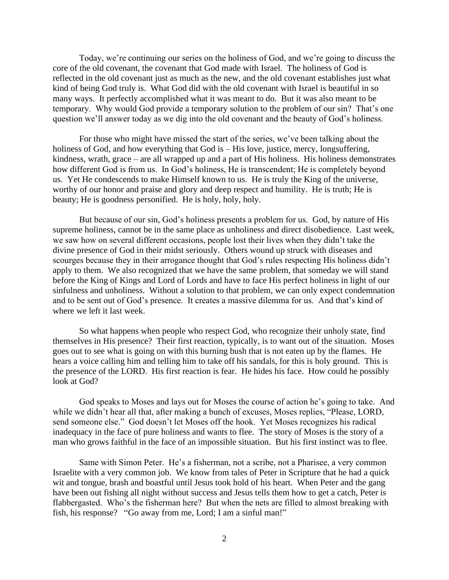Today, we're continuing our series on the holiness of God, and we're going to discuss the core of the old covenant, the covenant that God made with Israel. The holiness of God is reflected in the old covenant just as much as the new, and the old covenant establishes just what kind of being God truly is. What God did with the old covenant with Israel is beautiful in so many ways. It perfectly accomplished what it was meant to do. But it was also meant to be temporary. Why would God provide a temporary solution to the problem of our sin? That's one question we'll answer today as we dig into the old covenant and the beauty of God's holiness.

For those who might have missed the start of the series, we've been talking about the holiness of God, and how everything that God is – His love, justice, mercy, longsuffering, kindness, wrath, grace – are all wrapped up and a part of His holiness. His holiness demonstrates how different God is from us. In God's holiness, He is transcendent; He is completely beyond us. Yet He condescends to make Himself known to us. He is truly the King of the universe, worthy of our honor and praise and glory and deep respect and humility. He is truth; He is beauty; He is goodness personified. He is holy, holy, holy.

But because of our sin, God's holiness presents a problem for us. God, by nature of His supreme holiness, cannot be in the same place as unholiness and direct disobedience. Last week, we saw how on several different occasions, people lost their lives when they didn't take the divine presence of God in their midst seriously. Others wound up struck with diseases and scourges because they in their arrogance thought that God's rules respecting His holiness didn't apply to them. We also recognized that we have the same problem, that someday we will stand before the King of Kings and Lord of Lords and have to face His perfect holiness in light of our sinfulness and unholiness. Without a solution to that problem, we can only expect condemnation and to be sent out of God's presence. It creates a massive dilemma for us. And that's kind of where we left it last week.

So what happens when people who respect God, who recognize their unholy state, find themselves in His presence? Their first reaction, typically, is to want out of the situation. Moses goes out to see what is going on with this burning bush that is not eaten up by the flames. He hears a voice calling him and telling him to take off his sandals, for this is holy ground. This is the presence of the LORD. His first reaction is fear. He hides his face. How could he possibly look at God?

God speaks to Moses and lays out for Moses the course of action he's going to take. And while we didn't hear all that, after making a bunch of excuses, Moses replies, "Please, LORD, send someone else." God doesn't let Moses off the hook. Yet Moses recognizes his radical inadequacy in the face of pure holiness and wants to flee. The story of Moses is the story of a man who grows faithful in the face of an impossible situation. But his first instinct was to flee.

Same with Simon Peter. He's a fisherman, not a scribe, not a Pharisee, a very common Israelite with a very common job. We know from tales of Peter in Scripture that he had a quick wit and tongue, brash and boastful until Jesus took hold of his heart. When Peter and the gang have been out fishing all night without success and Jesus tells them how to get a catch, Peter is flabbergasted. Who's the fisherman here? But when the nets are filled to almost breaking with fish, his response? "Go away from me, Lord; I am a sinful man!"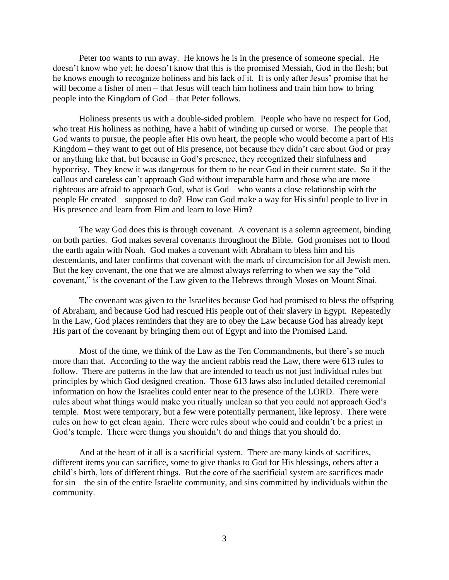Peter too wants to run away. He knows he is in the presence of someone special. He doesn't know who yet; he doesn't know that this is the promised Messiah, God in the flesh; but he knows enough to recognize holiness and his lack of it. It is only after Jesus' promise that he will become a fisher of men – that Jesus will teach him holiness and train him how to bring people into the Kingdom of God – that Peter follows.

Holiness presents us with a double-sided problem. People who have no respect for God, who treat His holiness as nothing, have a habit of winding up cursed or worse. The people that God wants to pursue, the people after His own heart, the people who would become a part of His Kingdom – they want to get out of His presence, not because they didn't care about God or pray or anything like that, but because in God's presence, they recognized their sinfulness and hypocrisy. They knew it was dangerous for them to be near God in their current state. So if the callous and careless can't approach God without irreparable harm and those who are more righteous are afraid to approach God, what is God – who wants a close relationship with the people He created – supposed to do? How can God make a way for His sinful people to live in His presence and learn from Him and learn to love Him?

The way God does this is through covenant. A covenant is a solemn agreement, binding on both parties. God makes several covenants throughout the Bible. God promises not to flood the earth again with Noah. God makes a covenant with Abraham to bless him and his descendants, and later confirms that covenant with the mark of circumcision for all Jewish men. But the key covenant, the one that we are almost always referring to when we say the "old covenant," is the covenant of the Law given to the Hebrews through Moses on Mount Sinai.

The covenant was given to the Israelites because God had promised to bless the offspring of Abraham, and because God had rescued His people out of their slavery in Egypt. Repeatedly in the Law, God places reminders that they are to obey the Law because God has already kept His part of the covenant by bringing them out of Egypt and into the Promised Land.

Most of the time, we think of the Law as the Ten Commandments, but there's so much more than that. According to the way the ancient rabbis read the Law, there were 613 rules to follow. There are patterns in the law that are intended to teach us not just individual rules but principles by which God designed creation. Those 613 laws also included detailed ceremonial information on how the Israelites could enter near to the presence of the LORD. There were rules about what things would make you ritually unclean so that you could not approach God's temple. Most were temporary, but a few were potentially permanent, like leprosy. There were rules on how to get clean again. There were rules about who could and couldn't be a priest in God's temple. There were things you shouldn't do and things that you should do.

And at the heart of it all is a sacrificial system. There are many kinds of sacrifices, different items you can sacrifice, some to give thanks to God for His blessings, others after a child's birth, lots of different things. But the core of the sacrificial system are sacrifices made for sin – the sin of the entire Israelite community, and sins committed by individuals within the community.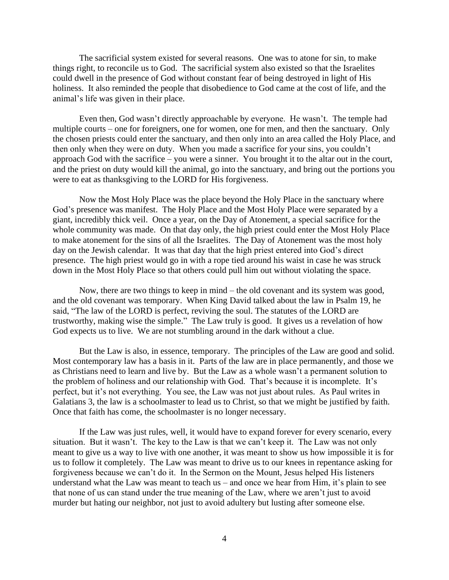The sacrificial system existed for several reasons. One was to atone for sin, to make things right, to reconcile us to God. The sacrificial system also existed so that the Israelites could dwell in the presence of God without constant fear of being destroyed in light of His holiness. It also reminded the people that disobedience to God came at the cost of life, and the animal's life was given in their place.

Even then, God wasn't directly approachable by everyone. He wasn't. The temple had multiple courts – one for foreigners, one for women, one for men, and then the sanctuary. Only the chosen priests could enter the sanctuary, and then only into an area called the Holy Place, and then only when they were on duty. When you made a sacrifice for your sins, you couldn't approach God with the sacrifice – you were a sinner. You brought it to the altar out in the court, and the priest on duty would kill the animal, go into the sanctuary, and bring out the portions you were to eat as thanksgiving to the LORD for His forgiveness.

Now the Most Holy Place was the place beyond the Holy Place in the sanctuary where God's presence was manifest. The Holy Place and the Most Holy Place were separated by a giant, incredibly thick veil. Once a year, on the Day of Atonement, a special sacrifice for the whole community was made. On that day only, the high priest could enter the Most Holy Place to make atonement for the sins of all the Israelites. The Day of Atonement was the most holy day on the Jewish calendar. It was that day that the high priest entered into God's direct presence. The high priest would go in with a rope tied around his waist in case he was struck down in the Most Holy Place so that others could pull him out without violating the space.

Now, there are two things to keep in mind – the old covenant and its system was good, and the old covenant was temporary. When King David talked about the law in Psalm 19, he said, "The law of the LORD is perfect, reviving the soul. The statutes of the LORD are trustworthy, making wise the simple." The Law truly is good. It gives us a revelation of how God expects us to live. We are not stumbling around in the dark without a clue.

But the Law is also, in essence, temporary. The principles of the Law are good and solid. Most contemporary law has a basis in it. Parts of the law are in place permanently, and those we as Christians need to learn and live by. But the Law as a whole wasn't a permanent solution to the problem of holiness and our relationship with God. That's because it is incomplete. It's perfect, but it's not everything. You see, the Law was not just about rules. As Paul writes in Galatians 3, the law is a schoolmaster to lead us to Christ, so that we might be justified by faith. Once that faith has come, the schoolmaster is no longer necessary.

If the Law was just rules, well, it would have to expand forever for every scenario, every situation. But it wasn't. The key to the Law is that we can't keep it. The Law was not only meant to give us a way to live with one another, it was meant to show us how impossible it is for us to follow it completely. The Law was meant to drive us to our knees in repentance asking for forgiveness because we can't do it. In the Sermon on the Mount, Jesus helped His listeners understand what the Law was meant to teach us – and once we hear from Him, it's plain to see that none of us can stand under the true meaning of the Law, where we aren't just to avoid murder but hating our neighbor, not just to avoid adultery but lusting after someone else.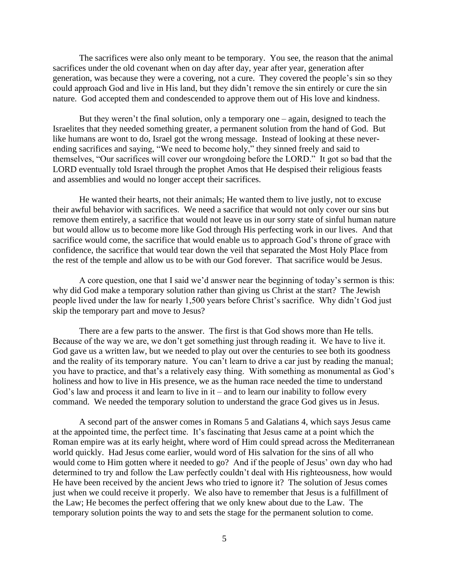The sacrifices were also only meant to be temporary. You see, the reason that the animal sacrifices under the old covenant when on day after day, year after year, generation after generation, was because they were a covering, not a cure. They covered the people's sin so they could approach God and live in His land, but they didn't remove the sin entirely or cure the sin nature. God accepted them and condescended to approve them out of His love and kindness.

But they weren't the final solution, only a temporary one – again, designed to teach the Israelites that they needed something greater, a permanent solution from the hand of God. But like humans are wont to do, Israel got the wrong message. Instead of looking at these neverending sacrifices and saying, "We need to become holy," they sinned freely and said to themselves, "Our sacrifices will cover our wrongdoing before the LORD." It got so bad that the LORD eventually told Israel through the prophet Amos that He despised their religious feasts and assemblies and would no longer accept their sacrifices.

He wanted their hearts, not their animals; He wanted them to live justly, not to excuse their awful behavior with sacrifices. We need a sacrifice that would not only cover our sins but remove them entirely, a sacrifice that would not leave us in our sorry state of sinful human nature but would allow us to become more like God through His perfecting work in our lives. And that sacrifice would come, the sacrifice that would enable us to approach God's throne of grace with confidence, the sacrifice that would tear down the veil that separated the Most Holy Place from the rest of the temple and allow us to be with our God forever. That sacrifice would be Jesus.

A core question, one that I said we'd answer near the beginning of today's sermon is this: why did God make a temporary solution rather than giving us Christ at the start? The Jewish people lived under the law for nearly 1,500 years before Christ's sacrifice. Why didn't God just skip the temporary part and move to Jesus?

There are a few parts to the answer. The first is that God shows more than He tells. Because of the way we are, we don't get something just through reading it. We have to live it. God gave us a written law, but we needed to play out over the centuries to see both its goodness and the reality of its temporary nature. You can't learn to drive a car just by reading the manual; you have to practice, and that's a relatively easy thing. With something as monumental as God's holiness and how to live in His presence, we as the human race needed the time to understand God's law and process it and learn to live in it – and to learn our inability to follow every command. We needed the temporary solution to understand the grace God gives us in Jesus.

A second part of the answer comes in Romans 5 and Galatians 4, which says Jesus came at the appointed time, the perfect time. It's fascinating that Jesus came at a point which the Roman empire was at its early height, where word of Him could spread across the Mediterranean world quickly. Had Jesus come earlier, would word of His salvation for the sins of all who would come to Him gotten where it needed to go? And if the people of Jesus' own day who had determined to try and follow the Law perfectly couldn't deal with His righteousness, how would He have been received by the ancient Jews who tried to ignore it? The solution of Jesus comes just when we could receive it properly. We also have to remember that Jesus is a fulfillment of the Law; He becomes the perfect offering that we only knew about due to the Law. The temporary solution points the way to and sets the stage for the permanent solution to come.